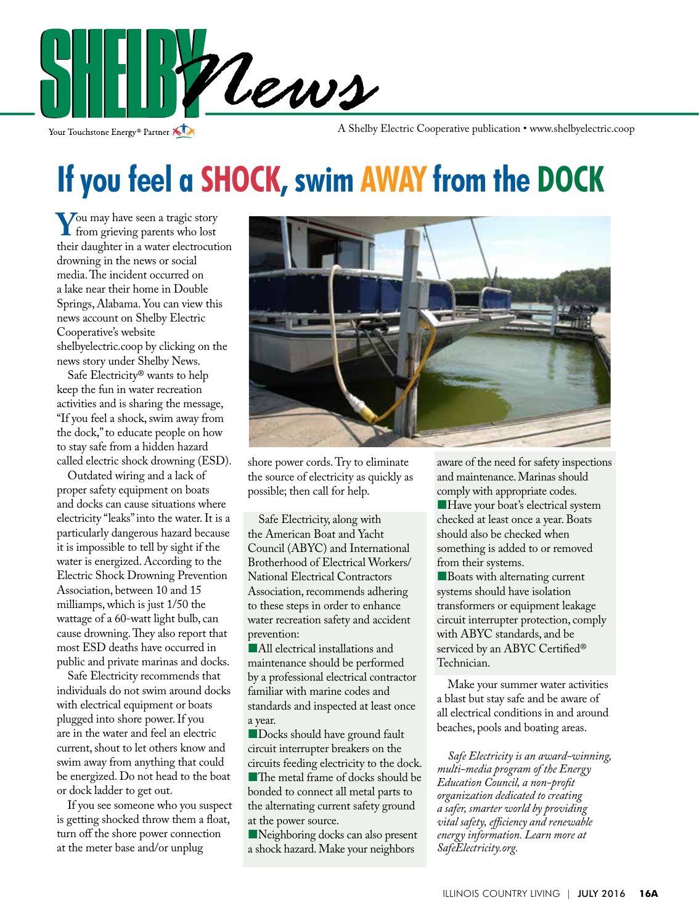

Your Touchstone Energy<sup>®</sup> Partner

A Shelby Electric Cooperative publication • www.shelbyelectric.coop

## **If you feel a SHOCK, swim AWAY from the DOCK**

**Y**ou may have seen a tragic story from grieving parents who lost their daughter in a water electrocution drowning in the news or social media. The incident occurred on a lake near their home in Double Springs, Alabama. You can view this news account on Shelby Electric Cooperative's website shelbyelectric.coop by clicking on the news story under Shelby News.

 Safe Electricity® wants to help keep the fun in water recreation activities and is sharing the message, "If you feel a shock, swim away from the dock," to educate people on how to stay safe from a hidden hazard called electric shock drowning (ESD).

 Outdated wiring and a lack of proper safety equipment on boats and docks can cause situations where electricity "leaks" into the water. It is a particularly dangerous hazard because it is impossible to tell by sight if the water is energized. According to the Electric Shock Drowning Prevention Association, between 10 and 15 milliamps, which is just 1/50 the wattage of a 60-watt light bulb, can cause drowning. They also report that most ESD deaths have occurred in public and private marinas and docks.

 Safe Electricity recommends that individuals do not swim around docks with electrical equipment or boats plugged into shore power. If you are in the water and feel an electric current, shout to let others know and swim away from anything that could be energized. Do not head to the boat or dock ladder to get out.

 If you see someone who you suspect is getting shocked throw them a float, turn off the shore power connection at the meter base and/or unplug



shore power cords. Try to eliminate the source of electricity as quickly as possible; then call for help.

 Safe Electricity, along with the American Boat and Yacht Council (ABYC) and International Brotherhood of Electrical Workers/ National Electrical Contractors Association, recommends adhering to these steps in order to enhance water recreation safety and accident prevention:

�All electrical installations and maintenance should be performed by a professional electrical contractor familiar with marine codes and standards and inspected at least once a year.

**Docks should have ground fault** circuit interrupter breakers on the circuits feeding electricity to the dock. ■The metal frame of docks should be bonded to connect all metal parts to the alternating current safety ground at the power source.

Neighboring docks can also present a shock hazard. Make your neighbors

aware of the need for safety inspections and maintenance. Marinas should comply with appropriate codes.

**Have your boat's electrical system** checked at least once a year. Boats should also be checked when something is added to or removed from their systems.

**Boats with alternating current** systems should have isolation transformers or equipment leakage circuit interrupter protection, comply with ABYC standards, and be serviced by an ABYC Certified® Technician.

 Make your summer water activities a blast but stay safe and be aware of all electrical conditions in and around beaches, pools and boating areas.

*Safe Electricity is an award-winning, multi-media program of the Energy Education Council, a non-profit organization dedicated to creating a safer, smarter world by providing vital safety, efficiency and renewable energy information. Learn more at SafeElectricity.org.*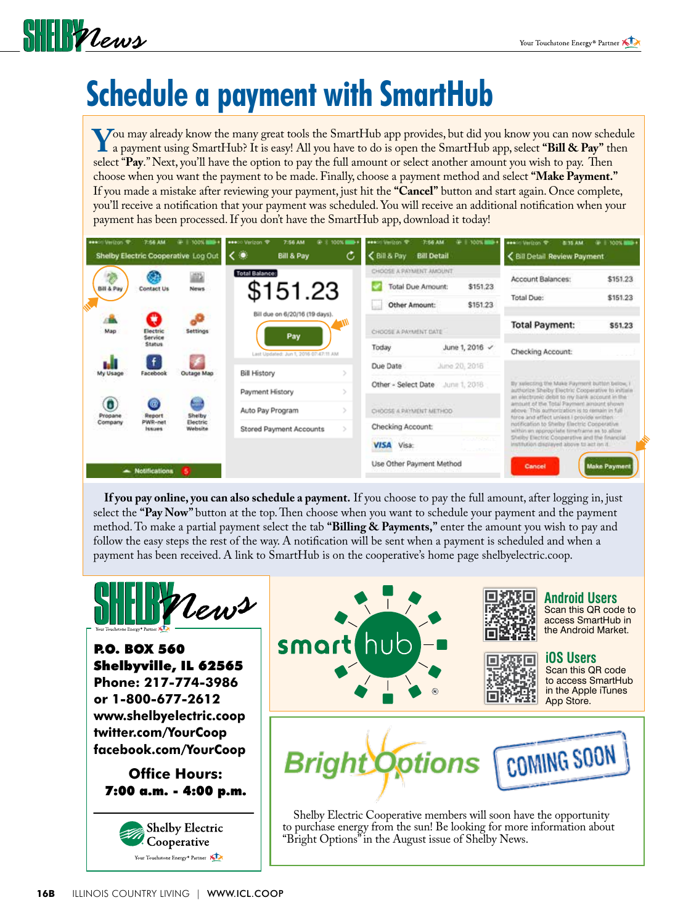

# **Schedule a payment with SmartHub**

You may already know the many great tools the SmartHub app provides, but did you know you can now schedule<br>a payment using SmartHub? It is easy! All you have to do is open the SmartHub app, select "Bill & Pay" then<br>select select "**Pay**." Next, you'll have the option to pay the full amount or select another amount you wish to pay. Then choose when you want the payment to be made. Finally, choose a payment method and select **"Make Payment."** If you made a mistake after reviewing your payment, just hit the **"Cancel"** button and start again. Once complete, you'll receive a notification that your payment was scheduled. You will receive an additional notification when your payment has been processed. If you don't have the SmartHub app, download it today!

| <b>***</b> Verizon 学    | 7:56 AM                                   | $+ 10011$<br>Shelby Electric Cooperative Log Out | ***** Verizon 堂<br>7:56 AM<br>۰<br>c<br>Bill & Pay           | @ 2 100% I<br>c | ess:il Verizon 专<br>C Bill & Pay                                          | $= 1.10011$<br>7:56 AM<br><b>Bill Detail</b> |                                                                                                                                                                                          | ees: Verizon 专<br>3-15 AM<br>Bill Detail Review Payment                                                                                                                                                                                                                                            | $#$   100%           |
|-------------------------|-------------------------------------------|--------------------------------------------------|--------------------------------------------------------------|-----------------|---------------------------------------------------------------------------|----------------------------------------------|------------------------------------------------------------------------------------------------------------------------------------------------------------------------------------------|----------------------------------------------------------------------------------------------------------------------------------------------------------------------------------------------------------------------------------------------------------------------------------------------------|----------------------|
| Bill & Pay              | Contact Us                                | News                                             | Total Balance:<br>\$151.23                                   |                 | CHOOSE A PAYMENT AMOUNT<br>Total Due Amount:<br>Other Amount:             |                                              | \$151,23<br>\$151.23                                                                                                                                                                     | Account Balances:<br>Total Due:                                                                                                                                                                                                                                                                    | \$151.23<br>\$151.23 |
| Map                     | Q<br>Electric<br>Service<br><b>Status</b> | <b>Settings</b>                                  | Bill due on 6/20/16 (19 days).<br>Pay                        | ГW              | CHOOSE A PAYMENT DATE<br>Today                                            | June 1, 2016 /                               |                                                                                                                                                                                          | <b>Total Payment:</b>                                                                                                                                                                                                                                                                              | \$51.23              |
| My Usage                | $\ddot{f}$<br>Facebook                    | Outage Map                                       | Last Updated: Jun 1, 2016 07:47:11 AM<br><b>Bill History</b> |                 | Due Date                                                                  | June 20, 2016                                |                                                                                                                                                                                          | Checking Account:                                                                                                                                                                                                                                                                                  |                      |
| 0<br>Propane<br>Company | œ<br>Report<br>PWR-net<br><b>INNURS</b>   | Shelby<br>Electric<br>Website                    | Payment History<br>Auto Pay Program                          |                 | Other - Select Date<br>June 1, 2016<br>CHOOSE A PAYMENT METHOD-           |                                              |                                                                                                                                                                                          | By xuleccing the Make Payment button below, it<br>authorize Shelby Electric Cooperative to initiala-<br>an electronic debit to my hark account in the<br>amount of the Total Payment amount shown<br>above. This authorization is to remain in full-<br>force and effect unless I provide written. |                      |
|                         |                                           |                                                  | Stored Payment Accounts                                      |                 | Checking Account:<br><b>CONTRACTOR</b><br><b>CONTRACTOR</b><br>VISA Visa: |                                              | notification to Shelby Electric Cooperative<br>within en appropriate timetrame as to allow<br>Shelby Electric Cooperative and the financial<br>Institution displayed above to act on it. |                                                                                                                                                                                                                                                                                                    |                      |
|                         | - Notifications                           |                                                  |                                                              |                 | Use Other Payment Method                                                  |                                              |                                                                                                                                                                                          | Cancel                                                                                                                                                                                                                                                                                             | <b>Make Payment</b>  |

**If you pay online, you can also schedule a payment.** If you choose to pay the full amount, after logging in, just select the **"Pay Now"** button at the top. Then choose when you want to schedule your payment and the payment method. To make a partial payment select the tab **"Billing & Payments,"** enter the amount you wish to pay and follow the easy steps the rest of the way. A notification will be sent when a payment is scheduled and when a payment has been received. A link to SmartHub is on the cooperative's home page shelbyelectric.coop.



P.O. BOX 560 Shelbyville, IL 62565 **Phone: 217-774-3986 or 1-800-677-2612 www.shelbyelectric.coop twitter.com/YourCoop facebook.com/YourCoop**

**Office Hours:** 7:00 a.m. - 4:00 p.m.







**Android Users** Scan this QR code to access SmartHub in the Android Market.



**iOS Users** Scan this QR code

to access SmartHub in the Apple iTunes App Store.



Shelby Electric Cooperative members will soon have the opportunity to purchase energy from the sun! Be looking for more information about "Bright Options" in the August issue of Shelby News.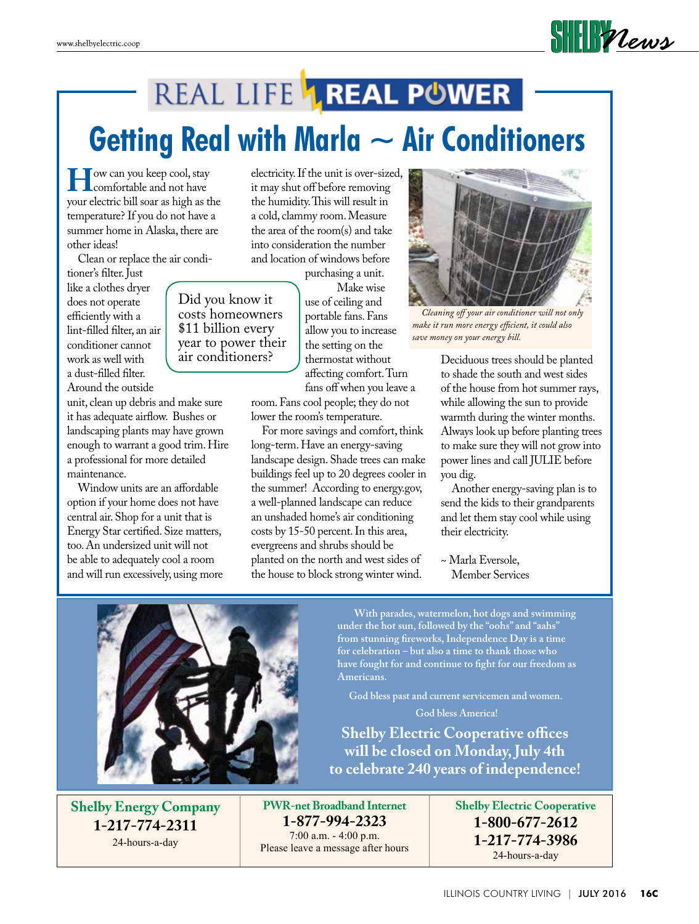# REAL LIFE **AREAL POWER Getting Real with Marla ~ Air Conditioners**

**H**ow can you keep cool, stay<br>comfortable and not have<br>vour electric bill soar as bigh as the your electric bill soar as high as the temperature? If you do not have a summer home in Alaska, there are other ideas!

Clean or replace the air condi-

Did you know it

\$11 billion every

air conditioners?

tioner's filter. Just like a clothes dryer does not operate efficiently with a lint-filled filter, an air conditioner cannot work as well with a dust-filled filter. Around the outside

unit, clean up debris and make sure it has adequate airflow. Bushes or landscaping plants may have grown enough to warrant a good trim. Hire a professional for more detailed maintenance.

 Window units are an affordable option if your home does not have central air. Shop for a unit that is Energy Star certified. Size matters, too. An undersized unit will not be able to adequately cool a room and will run excessively, using more electricity. If the unit is over-sized, it may shut off before removing the humidity. This will result in a cold, clammy room. Measure the area of the room(s) and take into consideration the number and location of windows before

purchasing a unit.

Make wise use of ceiling and portable fans. Fans allow you to increase the setting on the thermostat without affecting comfort. Turn fans off when you leave a costs homeowners year to power their

room. Fans cool people; they do not lower the room's temperature.

 For more savings and comfort, think long-term. Have an energy-saving landscape design. Shade trees can make buildings feel up to 20 degrees cooler in the summer! According to energy.gov, a well-planned landscape can reduce an unshaded home's air conditioning costs by 15-50 percent. In this area, evergreens and shrubs should be planted on the north and west sides of the house to block strong winter wind.



 $\frac{1}{2}$ 

 *Cleaning off your air conditioner will not only make it run more energy efficient, it could also save money on your energy bill.*

Deciduous trees should be planted to shade the south and west sides of the house from hot summer rays, while allowing the sun to provide warmth during the winter months. Always look up before planting trees to make sure they will not grow into power lines and call JULIE before you dig.

 Another energy-saving plan is to send the kids to their grandparents and let them stay cool while using their electricity.

~ Marla Eversole, Member Services

**With parades, watermelon, hot dogs and swimming under the hot sun, followed by the "oohs" and "aahs" from stunning fireworks, Independence Day is a time for celebration – but also a time to thank those who have fought for and continue to fight for our freedom as Americans.**

**God bless past and current servicemen and women. God bless America!**

**Shelby Electric Cooperative offices will be closed on Monday, July 4th to celebrate 240 years of independence!**

**Shelby Energy Company 1-217-774-2311** 24-hours-a-day

**PWR-net Broadband Internet 1-877-994-2323** 7:00 a.m. - 4:00 p.m. Please leave a message after hours **Shelby Electric Cooperative 1-800-677-2612 1-217-774-3986** 24-hours-a-day

ILLINOIS COUNTRY LIVING | JULY 2016 **16c**